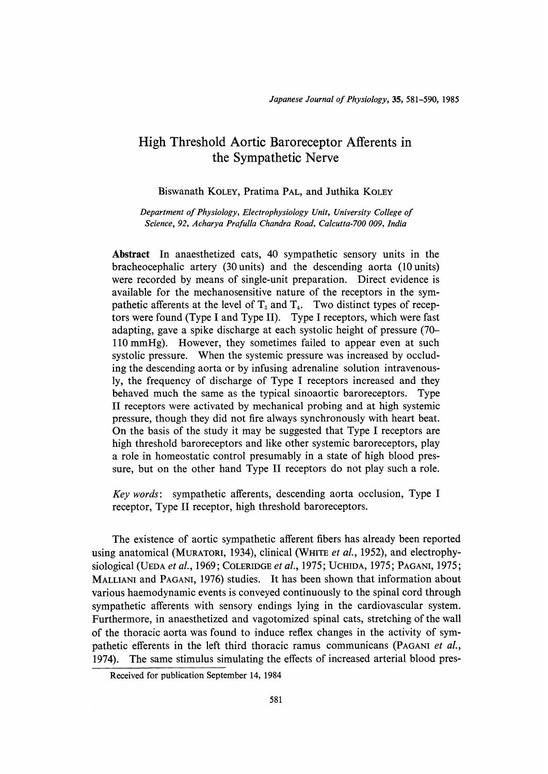# High Threshold Aortic Baroreceptor Afferents in the Sympathetic Nerve

## Biswanath KOLEY, Pratima PAL, and Juthika KOLEY

Department of Physiology, Electrophysiology Unit, University College of Science, 92, Acharya Prafulla Chandra Road, Calcutta-700 009, India

Abstract In anaesthetized cats, 40 sympathetic sensory units in the bracheocephalic artery (30 units) and the descending aorta (10 units) were recorded by means of single-unit preparation. Direct evidence is available for the mechanosensitive nature of the receptors in the sympathetic afferents at the level of  $T_3$  and  $T_4$ . Two distinct types of receptors were found (Type I and Type II). Type I receptors, which were fast adapting, gave a spike discharge at each systolic height of pressure (70- 110 mmHg). However, they sometimes failed to appear even at such systolic pressure. When the systemic pressure was increased by occluding the descending aorta or by infusing adrenaline solution intravenously, the frequency of discharge of Type I receptors increased and they behaved much the same as the typical sinoaortic baroreceptors. Type II receptors were activated by mechanical probing and at high systemic pressure, though they did not fire always synchronously with heart beat. On the basis of the study it may be suggested that Type I receptors are high threshold baroreceptors and like other systemic baroreceptors, play a role in homeostatic control presumably in a state of high blood pressure, but on the other hand Type II receptors do not play such a role.

Key words: sympathetic afferents, descending aorta occlusion, Type I receptor, Type II receptor, high threshold baroreceptors.

 The existence of aortic sympathetic afferent fibers has already been reported using anatomical (MURATORI, 1934), clinical (WHITE et al., 1952), and electrophysiological (UEDA et al., 1969; COLERIDGE et al., 1975; UCHIDA, 1975; PAGANI, 1975; MALLIANI and PAGANI, 1976) studies. It has been shown that information about various haemodynamic events is conveyed continuously to the spinal cord through sympathetic afferents with sensory endings lying in the cardiovascular system. Furthermore, in anaesthetized and vagotomized spinal cats, stretching of the wall of the thoracic aorta was found to induce reflex changes in the activity of sympathetic efferents in the left third thoracic ramus communicans (PAGANI et al., 1974). The same stimulus simulating the effects of increased arterial blood pres-

Received for publication September 14, 1984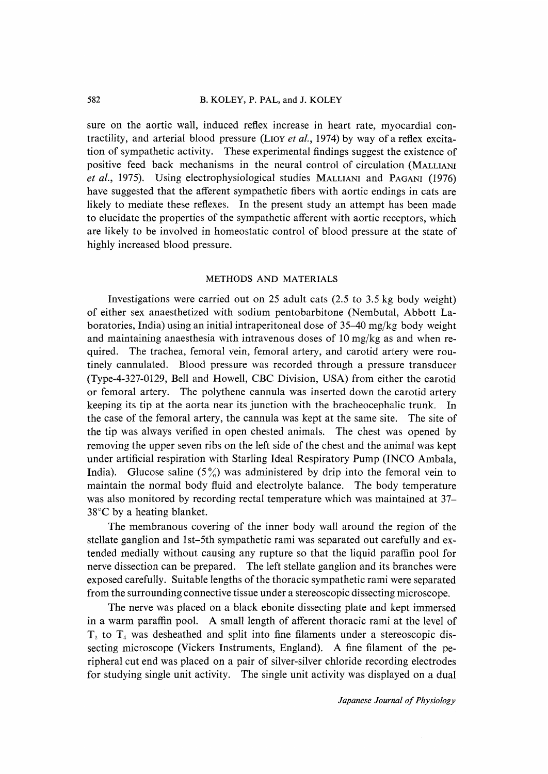sure on the aortic wall, induced reflex increase in heart rate, myocardial contractility, and arterial blood pressure (LIOY et al., 1974) by way of a reflex excitation of sympathetic activity. These experimental findings suggest the existence of positive feed back mechanisms in the neural control of circulation (MALLIANI et al., 1975). Using electrophysiological studies MALLIANI and PAGANI (1976) have suggested that the afferent sympathetic fibers with aortic endings in cats are likely to mediate these reflexes. In the present study an attempt has been made to elucidate the properties of the sympathetic afferent with aortic receptors, which are likely to be involved in homeostatic control of blood pressure at the state of highly increased blood pressure.

#### METHODS AND MATERIALS

 Investigations were carried out on 25 adult cats (2.5 to 3.5 kg body weight) of either sex anaesthetized with sodium pentobarbitone (Nembutal, Abbott Laboratories, India) using an initial intraperitoneal dose of 35-40 mg/kg body weight and maintaining anaesthesia with intravenous doses of 10 mg/kg as and when required. The trachea, femoral vein, femoral artery, and carotid artery were routinely cannulated. Blood pressure was recorded through a pressure transducer (Type-4-327-0129, Bell and Howell, CBC Division, USA) from either the carotid or femoral artery. The polythene cannula was inserted down the carotid artery keeping its tip at the aorta near its junction with the bracheocephalic trunk. In the case of the femoral artery, the cannula was kept at the same site. The site of the tip was always verified in open chested animals. The chest was opened by removing the upper seven ribs on the left side of the chest and the animal was kept under artificial respiration with Starling Ideal Respiratory Pump (INCO Ambala, India). Glucose saline  $(5\%)$  was administered by drip into the femoral vein to maintain the normal body fluid and electrolyte balance. The body temperature was also monitored by recording rectal temperature which was maintained at 37- 38°C by a heating blanket.

 The membranous covering of the inner body wall around the region of the stellate ganglion and 1st-5th sympathetic rami was separated out carefully and extended medially without causing any rupture so that the liquid paraffin pool for nerve dissection can be prepared. The left stellate ganglion and its branches were exposed carefully. Suitable lengths of the thoracic sympathetic rami were separated from the surrounding connective tissue under a stereoscopic dissecting microscope.

 The nerve was placed on a black ebonite dissecting plate and kept immersed in a warm paraffin pool. A small length of afferent thoracic rami at the level of  $T<sub>2</sub>$  to  $T<sub>4</sub>$  was desheathed and split into fine filaments under a stereoscopic dissecting microscope (Vickers Instruments, England). A fine filament of the peripheral cut end was placed on a pair of silver-silver chloride recording electrodes for studying single unit activity. The single unit activity was displayed on a dual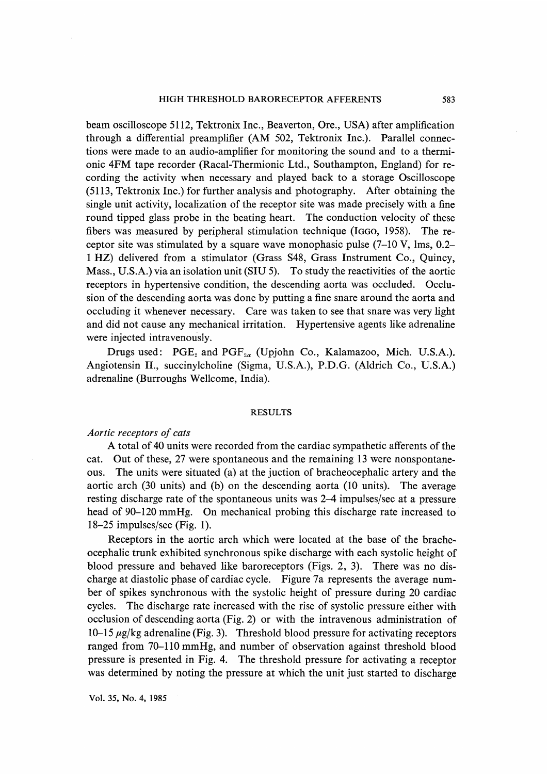beam oscilloscope 5112, Tektronix Inc., Beaverton, Ore., USA) after amplification through a differential preamplifier (AM 502, Tektronix Inc.). Parallel connections were made to an audio-amplifier for monitoring the sound and to a thermionic 4FM tape recorder (Racal-Thermionic Ltd., Southampton, England) for recording the activity when necessary and played back to a storage Oscilloscope (5113, Tektronix Inc.) for further analysis and photography. After obtaining the single unit activity, localization of the receptor site was made precisely with a fine round tipped glass probe in the beating heart. The conduction velocity of these fibers was measured by peripheral stimulation technique (IGG0, 1958). The receptor site was stimulated by a square wave monophasic pulse (7-10 V, lms, 0.2- 1 HZ) delivered from a stimulator (Grass S48, Grass Instrument Co., Quincy, Mass., U.S.A.) via an isolation unit (SIU 5). To study the reactivities of the aortic receptors in hypertensive condition, the descending aorta was occluded. Occlusion of the descending aorta was done by putting a fine snare around the aorta and occluding it whenever necessary. Care was taken to see that snare was very light and did not cause any mechanical irritation. Hypertensive agents like adrenaline were injected intravenously.

Drugs used:  $PGE_2$  and  $PGF_{2\alpha}$  (Upjohn Co., Kalamazoo, Mich. U.S.A.). Angiotensin II., succinylcholine (Sigma, U.S.A.), P.D.G. (Aldrich Co., U.S.A.) adrenaline (Burroughs Wellcome, India).

#### RESULTS

## Aortic receptors of cats

 A total of 40 units were recorded from the cardiac sympathetic afferents of the cat. Out of these, 27 were spontaneous and the remaining 13 were nonspontaneous. The units were situated (a) at the juction of bracheocephalic artery and the aortic arch (30 units) and (b) on the descending aorta (10 units). The average resting discharge rate of the spontaneous units was 2-4 impulses/sec at a pressure head of 90-120 mmHg. On mechanical probing this discharge rate increased to 18-25 impulses/sec (Fig. 1).

 Receptors in the aortic arch which were located at the base of the bracheocephalic trunk exhibited synchronous spike discharge with each systolic height of blood pressure and behaved like baroreceptors (Figs. 2, 3). There was no discharge at diastolic phase of cardiac cycle. Figure 7a represents the average number of spikes synchronous with the systolic height of pressure during 20 cardiac cycles. The discharge rate increased with the rise of systolic pressure either with occlusion of descending aorta (Fig. 2) or with the intravenous administration of  $10-15 \mu g/kg$  adrenaline (Fig. 3). Threshold blood pressure for activating receptors ranged from 70-110 mmHg, and number of observation against threshold blood pressure is presented in Fig. 4. The threshold pressure for activating a receptor was determined by noting the pressure at which the unit just started to discharge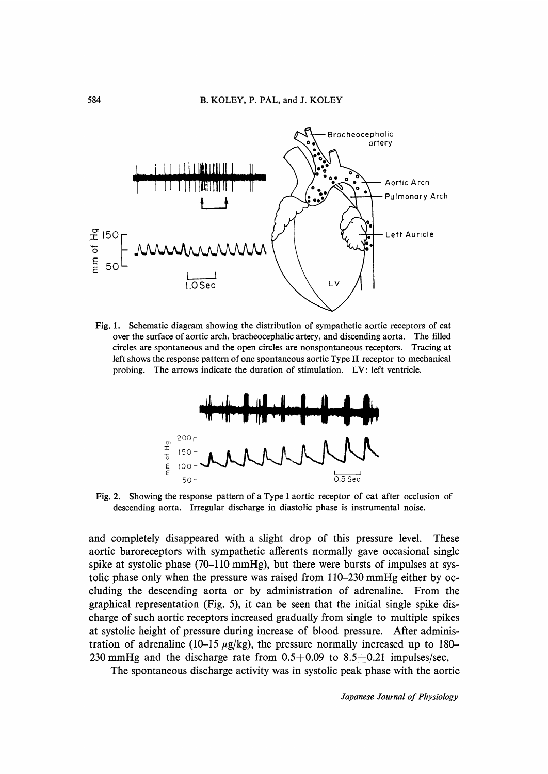

Fig. 1. Schematic diagram showing the distribution of sympathetic aortic receptors of cat over the surface of aortic arch, bracheocephalic artery, and discending aorta. The filled circles are spontaneous and the open circles are nonspontaneous receptors. Tracing at left shows the response pattern of one spontaneous aortic Type II receptor to mechanical probing. The arrows indicate the duration of stimulation. LV: left ventricle.



Fig. 2. Showing the response pattern of a Type I aortic receptor of cat after occlusion of descending aorta. Irregular discharge in diastolic phase is instrumental noise.

and completely disappeared with a slight drop of this pressure level. These aortic baroreceptors with sympathetic afferents normally gave occasional singlc spike at systolic phase (70–110 mmHg), but there were bursts of impulses at systolic phase only when the pressure was raised from 110-230 mmHg either by occluding the descending aorta or by administration of adrenaline. From the graphical representation (Fig. 5), it can be seen that the initial single spike discharge of such aortic receptors increased gradually from single to multiple spikes at systolic height of pressure during increase of blood pressure. After administration of adrenaline (10–15  $\mu$ g/kg), the pressure normally increased up to 180– 230 mmHg and the discharge rate from  $0.5 \pm 0.09$  to  $8.5 \pm 0.21$  impulses/sec.

The spontaneous discharge activity was in systolic peak phase with the aortic

Japanese Journal of Physiology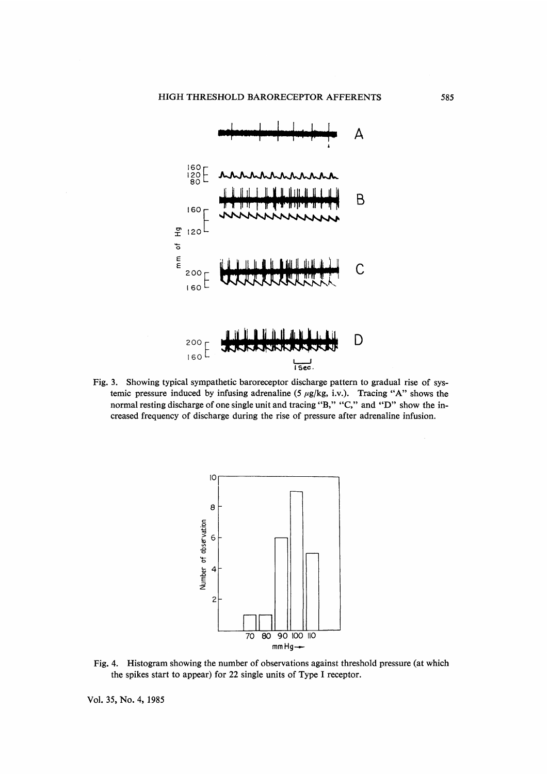

Fig. 3. Showing typical sympathetic baroreceptor discharge pattern to gradual rise of sys temic pressure induced by infusing adrenaline (5  $\mu$ g/kg, i.v.). Tracing "A" shows the normal resting discharge of one single unit and tracing "B," "C," and "D" show the in creased frequency of discharge during the rise of pressure after adrenaline infusion.



Fig. 4. Histogram showing the number of observations against threshold pressure (at which the spikes start to appear) for 22 single units of Type I receptor.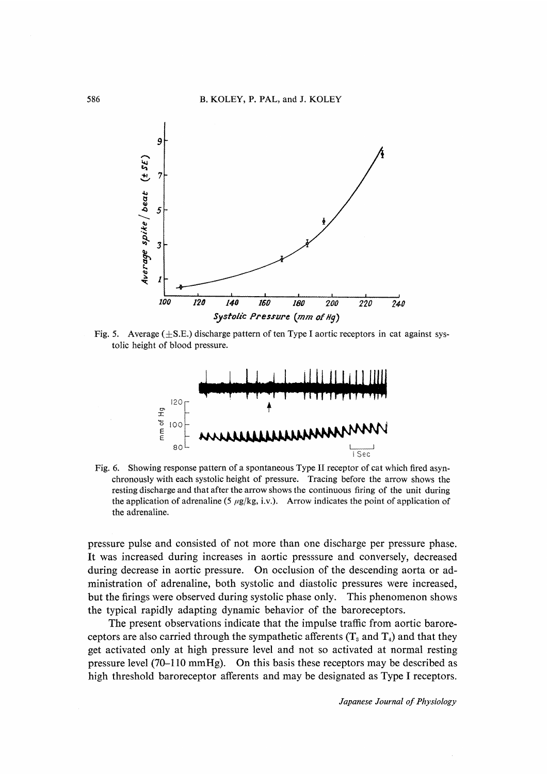

Fig. 5. Average  $(\pm S.E.)$  discharge pattern of ten Type I aortic receptors in cat against sys tolic height of blood pressure.



Fig. 6. Showing response pattern of a spontaneous Type II receptor of cat which fired asyn chronously with each systolic height of pressure. Tracing before the arrow shows the resting discharge and that after the arrow shows the continuous firing of the unit during the application of adrenaline (5  $\mu$ g/kg, i.v.). Arrow indicates the point of application of the adrenaline.

pressure pulse and consisted of not more than one discharge per pressure phase. It was increased during increases in aortic presssure and conversely, decreased during decrease in aortic pressure. On occlusion of the descending aorta or administration of adrenaline, both systolic and diastolic pressures were increased, but the firings were observed during systolic phase only. This phenomenon shows the typical rapidly adapting dynamic behavior of the baroreceptors.

 The present observations indicate that the impulse traffic from aortic baroreceptors are also carried through the sympathetic afferents  $(T_3 \text{ and } T_4)$  and that they get activated only at high pressure level and not so activated at normal resting pressure level (70-110 mmHg). On this basis these receptors may be described as high threshold baroreceptor afferents and may be designated as Type I receptors.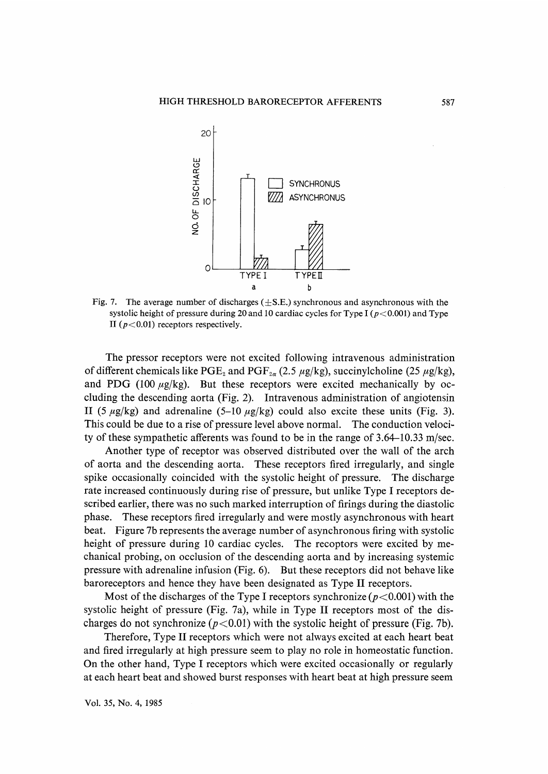

Fig. 7. The average number of discharges  $(\pm S.E.)$  synchronous and asynchronous with the systolic height of pressure during 20 and 10 cardiac cycles for Type I ( $p < 0.001$ ) and Type II ( $p < 0.01$ ) receptors respectively.

 The pressor receptors were not excited following intravenous administration of different chemicals like PGE<sub>2</sub> and PGF<sub>2a</sub> (2.5  $\mu$ g/kg), succinylcholine (25  $\mu$ g/kg), and PDG (100  $\mu$ g/kg). But these receptors were excited mechanically by occluding the descending aorta (Fig. 2). Intravenous administration of angiotensin II (5  $\mu$ g/kg) and adrenaline (5-10  $\mu$ g/kg) could also excite these units (Fig. 3). This could be due to a rise of pressure level above normal. The conduction velocity of these sympathetic afferents was found to be in the range of 3.64-10.33 m/sec.

 Another type of receptor was observed distributed over the wall of the arch of aorta and the descending aorta. These receptors fired irregularly, and single spike occasionally coincided with the systolic height of pressure. The discharge rate increased continuously during rise of pressure, but unlike Type I receptors described earlier, there was no such marked interruption of firings during the diastolic phase. These receptors fired irregularly and were mostly asynchronous with heart beat. Figure 7b represents the average number of asynchronous firing with systolic height of pressure during 10 cardiac cycles. The recoptors were excited by mechanical probing, on occlusion of the descending aorta and by increasing systemic pressure with adrenaline infusion (Fig. 6). But these receptors did not behave like baroreceptors and hence they have been designated as Type II receptors.

Most of the discharges of the Type I receptors synchronize ( $p < 0.001$ ) with the systolic height of pressure (Fig. 7a), while in Type II receptors most of the discharges do not synchronize ( $p < 0.01$ ) with the systolic height of pressure (Fig. 7b).

 Therefore, Type II receptors which were not always excited at each heart beat and fired irregularly at high pressure seem to play no role in homeostatic function. On the other hand, Type I receptors which were excited occasionally or regularly at each heart beat and showed burst responses with heart beat at high pressure seem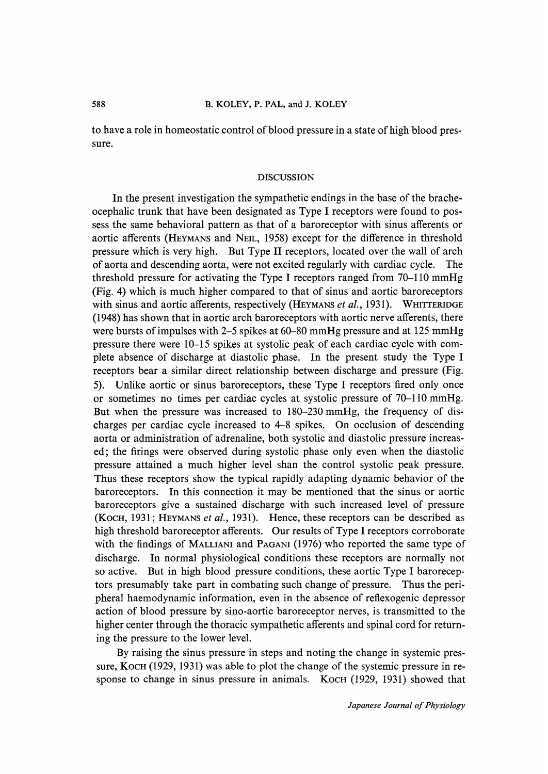to have a role in homeostatic control of blood pressure in a state of high blood pressure.

### DISCUSSION

 In the present investigation the sympathetic endings in the base of the bracheocephalic trunk that have been designated as Type I receptors were found to possess the same behavioral pattern as that of a baroreceptor with sinus afferents or aortic afferents (HEYMANS and NEIL, 1958) except for the difference in threshold pressure which is very high. But Type II receptors, located over the wall of arch of aorta and descending aorta, were not excited regularly with cardiac cycle. The threshold pressure for activating the Type I receptors ranged from 70-110 mmHg (Fig. 4) which is much higher compared to that of sinus and aortic baroreceptors with sinus and aortic afferents, respectively (HEYMANS et al., 1931). WHITTERIDGE (1948) has shown that in aortic arch baroreceptors with aortic nerve afferents, there were bursts of impulses with 2-5 spikes at 60-80 mmHg pressure and at 125 mmHg pressure there were 10-15 spikes at systolic peak of each cardiac cycle with complete absence of discharge at diastolic phase. In the present study the Type I receptors bear a similar direct relationship between discharge and pressure (Fig. 5). Unlike aortic or sinus baroreceptors, these Type I receptors fired only once or sometimes no times per cardiac cycles at systolic pressure of 70-110 mmHg. But when the pressure was increased to 180-230 mmHg, the frequency of discharges per cardiac cycle increased to 4-8 spikes. On occlusion of descending aorta or administration of adrenaline, both systolic and diastolic pressure increased; the firings were observed during systolic phase only even when the diastolic pressure attained a much higher level shan the control systolic peak pressure. Thus these receptors show the typical rapidly adapting dynamic behavior of the baroreceptors. In this connection it may be mentioned that the sinus or aortic baroreceptors give a sustained discharge with such increased level of pressure (KOCH, 1931; HEYMANS et al., 1931). Hence, these receptors can be described as high threshold baroreceptor afferents. Our results of Type I receptors corroborate with the findings of MALLIANI and PAGANI (1976) who reported the same type of discharge. In normal physiological conditions these receptors are normally not so active. But in high blood pressure conditions, these aortic Type I baroreceptors presumably take part in combating such change of pressure. Thus the peripheral haemodynamic information, even in the absence of reflexogenic depressor action of blood pressure by sino-aortic baroreceptor nerves, is transmitted to the higher center through the thoracic sympathetic afferents and spinal cord for returning the pressure to the lower level.

 By raising the sinus pressure in steps and noting the change in systemic pressure, KOCH (1929, 1931) was able to plot the change of the systemic pressure in response to change in sinus pressure in animals. Koch (1929, 1931) showed that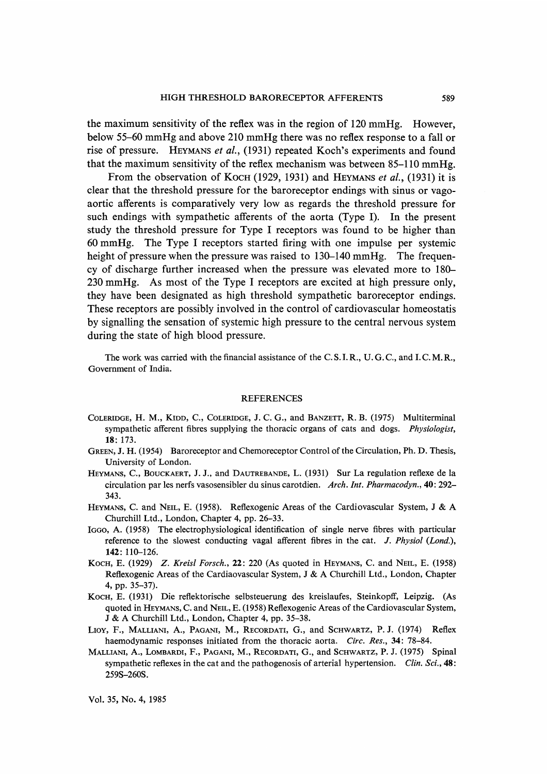the maximum sensitivity of the reflex was in the region of 120 mmHg. However, below 55-60 mmHg and above 210 mmHg there was no reflex response to a fall or rise of pressure. HEYMANS et al., (1931) repeated Koch's experiments and found that the maximum sensitivity of the reflex mechanism was between 85-110 mmHg.

From the observation of Koch (1929, 1931) and HEYMANS et al., (1931) it is clear that the threshold pressure for the baroreceptor endings with sinus or vagoaortic afferents is comparatively very low as regards the threshold pressure for such endings with sympathetic afferents of the aorta (Type I). In the present study the threshold pressure for Type I receptors was found to be higher than 60 mmHg. The Type I receptors started firing with one impulse per systemic height of pressure when the pressure was raised to 130–140 mmHg. The frequency of discharge further increased when the pressure was elevated more to 180- 230 mmHg. As most of the Type I receptors are excited at high pressure only, they have been designated as high threshold sympathetic baroreceptor endings. These receptors are possibly involved in the control of cardiovascular homeostatis by signalling the sensation of systemic high pressure to the central nervous system during the state of high blood pressure.

 The work was carried with the financial assistance of the C. S. I. R., U.G.C., and I. C. M. R., Government of India.

#### REFERENCES

- COLERIDGE, H. M., KIDD, C., COLERIDGE, J. C. G., and BANZETT, R. B. (1975) Multiterminal sympathetic afferent fibres supplying the thoracic organs of cats and dogs. Physiologist, 18: 173.
- GREEN, J. H. (1954) Baroreceptor and Chemoreceptor Control of the Circulation, Ph. D. Thesis, University of London.
- HEYMANS, C., BOUCKAERT, J. J., and DAUTREBANDE, L. (1931) Sur La regulation reflexe de la circulation par les nerfs vasosensibler du sinus carotdien. Arch. Int. Pharmacodyn., 40: 292- 343.
- HEYMANS, C. and NEIL, E. (1958). Reflexogenic Areas of the Cardiovascular System, J & A Churchill Ltd., London, Chapter 4, pp. 26-33.
- IGGO, A. (1958) The electrophysiological identification of single nerve fibres with particular reference to the slowest conducting vagal afferent fibres in the cat. J. Physiol (Lond.), 142:110-126.
- KoCH, E. (1929) Z. Kreisl Forsch., 22: 220 (As quoted in HEYMANS, C. and NEIL, E. (1958) Reflexogenic Areas of the Cardiaovascular System, J & A Churchill Ltd., London, Chapter 4, pp. 35-37).
- KoCH, E. (1931) Die reflektorische selbsteuerung des kreislaufes, Steinkopff, Leipzig. (As quoted in HEYMANS, C. and NEIL, E. (1958) Reflexogenic Areas of the Cardiovascular System, J & A Churchill Ltd., London, Chapter 4, pp. 35-38.
- LIOY, F., MALLIANI, A., PAGANI, M., RECORDATI, G., and SCHWARTZ, P. J. (1974) Reflex haemodynamic responses initiated from the thoracic aorta. Circ. Res., 34: 78-84.
- MALLIANI, A., LOMBARDI, F., PAGANI, M., RECORDATI, G., and SCHWARTZ, P. J. (1975) Spinal sympathetic reflexes in the cat and the pathogenosis of arterial hypertension. Clin. Sci., 48: 259S-260S.